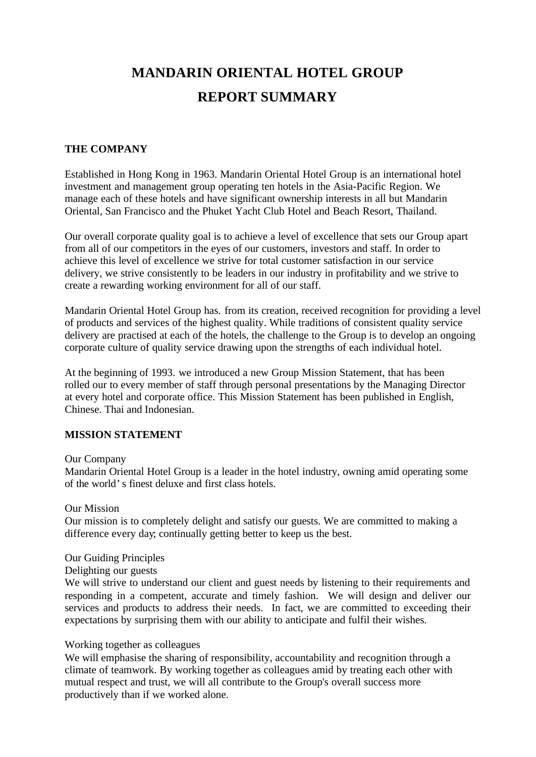# **MANDARIN ORIENTAL HOTEL GROUP REPORT SUMMARY**

## **THE COMPANY**

Established in Hong Kong in 1963. Mandarin Oriental Hotel Group is an international hotel investment and management group operating ten hotels in the Asia-Pacific Region. We manage each of these hotels and have significant ownership interests in all but Mandarin Oriental, San Francisco and the Phuket Yacht Club Hotel and Beach Resort, Thailand.

Our overall corporate quality goal is to achieve a level of excellence that sets our Group apart from all of our competitors in the eyes of our customers, investors and staff. In order to achieve this level of excellence we strive for total customer satisfaction in our service delivery, we strive consistently to be leaders in our industry in profitability and we strive to create a rewarding working environment for all of our staff.

Mandarin Oriental Hotel Group has. from its creation, received recognition for providing a level of products and services of the highest quality. While traditions of consistent quality service delivery are practised at each of the hotels, the challenge to the Group is to develop an ongoing corporate culture of quality service drawing upon the strengths of each individual hotel.

At the beginning of 1993. we introduced a new Group Mission Statement, that has been rolled our to every member of staff through personal presentations by the Managing Director at every hotel and corporate office. This Mission Statement has been published in English, Chinese. Thai and Indonesian.

### **MISSION STATEMENT**

#### Our Company

Mandarin Oriental Hotel Group is a leader in the hotel industry, owning amid operating some of the world's finest deluxe and first class hotels.

#### Our Mission

Our mission is to completely delight and satisfy our guests. We are committed to making a difference every day; continually getting better to keep us the best.

#### Our Guiding Principles

## Delighting our guests

We will strive to understand our client and guest needs by listening to their requirements and responding in a competent, accurate and timely fashion. We will design and deliver our services and products to address their needs. In fact, we are committed to exceeding their expectations by surprising them with our ability to anticipate and fulfil their wishes.

### Working together as colleagues

We will emphasise the sharing of responsibility, accountability and recognition through a climate of teamwork. By working together as colleagues amid by treating each other with mutual respect and trust, we will all contribute to the Group's overall success more productively than if we worked alone.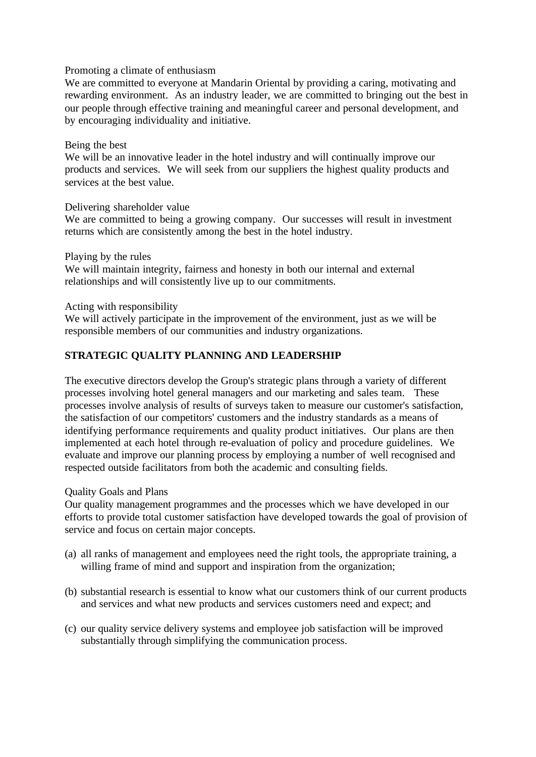#### Promoting a climate of enthusiasm

We are committed to everyone at Mandarin Oriental by providing a caring, motivating and rewarding environment. As an industry leader, we are committed to bringing out the best in our people through effective training and meaningful career and personal development, and by encouraging individuality and initiative.

#### Being the best

We will be an innovative leader in the hotel industry and will continually improve our products and services. We will seek from our suppliers the highest quality products and services at the best value.

### Delivering shareholder value

We are committed to being a growing company. Our successes will result in investment returns which are consistently among the best in the hotel industry.

Playing by the rules

We will maintain integrity, fairness and honesty in both our internal and external relationships and will consistently live up to our commitments.

Acting with responsibility

We will actively participate in the improvement of the environment, just as we will be responsible members of our communities and industry organizations.

# **STRATEGIC QUALITY PLANNING AND LEADERSHIP**

The executive directors develop the Group's strategic plans through a variety of different processes involving hotel general managers and our marketing and sales team. These processes involve analysis of results of surveys taken to measure our customer's satisfaction, the satisfaction of our competitors' customers and the industry standards as a means of identifying performance requirements and quality product initiatives. Our plans are then implemented at each hotel through re-evaluation of policy and procedure guidelines. We evaluate and improve our planning process by employing a number of well recognised and respected outside facilitators from both the academic and consulting fields.

Quality Goals and Plans

Our quality management programmes and the processes which we have developed in our efforts to provide total customer satisfaction have developed towards the goal of provision of service and focus on certain major concepts.

- (a) all ranks of management and employees need the right tools, the appropriate training, a willing frame of mind and support and inspiration from the organization;
- (b) substantial research is essential to know what our customers think of our current products and services and what new products and services customers need and expect; and
- (c) our quality service delivery systems and employee job satisfaction will be improved substantially through simplifying the communication process.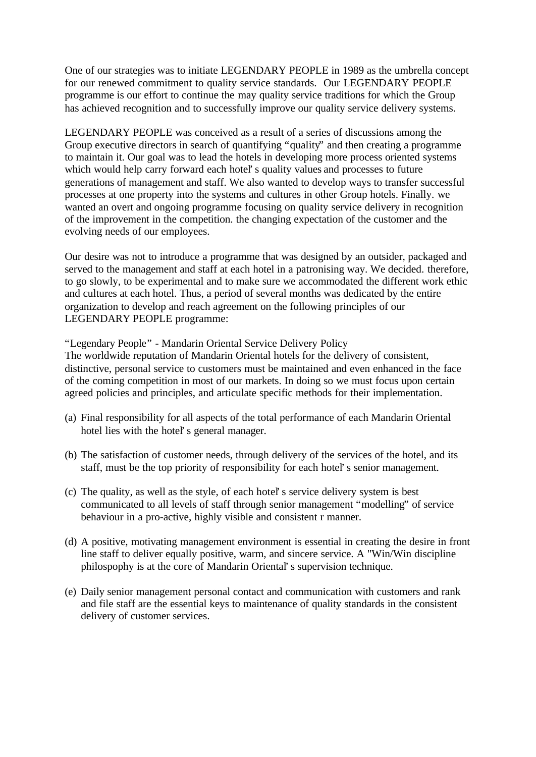One of our strategies was to initiate LEGENDARY PEOPLE in 1989 as the umbrella concept for our renewed commitment to quality service standards. Our LEGENDARY PEOPLE programme is our effort to continue the may quality service traditions for which the Group has achieved recognition and to successfully improve our quality service delivery systems.

LEGENDARY PEOPLE was conceived as a result of a series of discussions among the Group executive directors in search of quantifying "quality" and then creating a programme to maintain it. Our goal was to lead the hotels in developing more process oriented systems which would help carry forward each hotel's quality values and processes to future generations of management and staff. We also wanted to develop ways to transfer successful processes at one property into the systems and cultures in other Group hotels. Finally. we wanted an overt and ongoing programme focusing on quality service delivery in recognition of the improvement in the competition. the changing expectation of the customer and the evolving needs of our employees.

Our desire was not to introduce a programme that was designed by an outsider, packaged and served to the management and staff at each hotel in a patronising way. We decided. therefore, to go slowly, to be experimental and to make sure we accommodated the different work ethic and cultures at each hotel. Thus, a period of several months was dedicated by the entire organization to develop and reach agreement on the following principles of our LEGENDARY PEOPLE programme:

"Legendary People" - Mandarin Oriental Service Delivery Policy

The worldwide reputation of Mandarin Oriental hotels for the delivery of consistent, distinctive, personal service to customers must be maintained and even enhanced in the face of the coming competition in most of our markets. In doing so we must focus upon certain agreed policies and principles, and articulate specific methods for their implementation.

- (a) Final responsibility for all aspects of the total performance of each Mandarin Oriental hotel lies with the hotel's general manager.
- (b) The satisfaction of customer needs, through delivery of the services of the hotel, and its staff, must be the top priority of responsibility for each hotel's senior management.
- (c) The quality, as well as the style, of each hotel's service delivery system is best communicated to all levels of staff through senior management "modelling" of service behaviour in a pro-active, highly visible and consistent r manner.
- (d) A positive, motivating management environment is essential in creating the desire in front line staff to deliver equally positive, warm, and sincere service. A "Win/Win discipline philospophy is at the core of Mandarin Oriental's supervision technique.
- (e) Daily senior management personal contact and communication with customers and rank and file staff are the essential keys to maintenance of quality standards in the consistent delivery of customer services.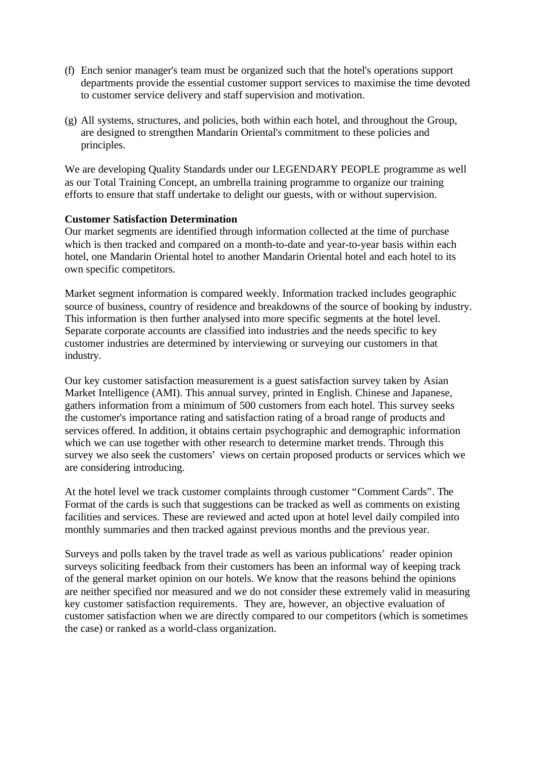- (f) Ench senior manager's team must be organized such that the hotel's operations support departments provide the essential customer support services to maximise the time devoted to customer service delivery and staff supervision and motivation.
- (g) All systems, structures, and policies, both within each hotel, and throughout the Group, are designed to strengthen Mandarin Oriental's commitment to these policies and principles.

We are developing Quality Standards under our LEGENDARY PEOPLE programme as well as our Total Training Concept, an umbrella training programme to organize our training efforts to ensure that staff undertake to delight our guests, with or without supervision.

### **Customer Satisfaction Determination**

Our market segments are identified through information collected at the time of purchase which is then tracked and compared on a month-to-date and year-to-year basis within each hotel, one Mandarin Oriental hotel to another Mandarin Oriental hotel and each hotel to its own specific competitors.

Market segment information is compared weekly. Information tracked includes geographic source of business, country of residence and breakdowns of the source of booking by industry. This information is then further analysed into more specific segments at the hotel level. Separate corporate accounts are classified into industries and the needs specific to key customer industries are determined by interviewing or surveying our customers in that industry.

Our key customer satisfaction measurement is a guest satisfaction survey taken by Asian Market Intelligence (AMI). This annual survey, printed in English. Chinese and Japanese, gathers information from a minimum of 500 customers from each hotel. This survey seeks the customer's importance rating and satisfaction rating of a broad range of products and services offered. In addition, it obtains certain psychographic and demographic information which we can use together with other research to determine market trends. Through this survey we also seek the customers' views on certain proposed products or services which we are considering introducing.

At the hotel level we track customer complaints through customer "Comment Cards". The Format of the cards is such that suggestions can be tracked as well as comments on existing facilities and services. These are reviewed and acted upon at hotel level daily compiled into monthly summaries and then tracked against previous months and the previous year.

Surveys and polls taken by the travel trade as well as various publications' reader opinion surveys soliciting feedback from their customers has been an informal way of keeping track of the general market opinion on our hotels. We know that the reasons behind the opinions are neither specified nor measured and we do not consider these extremely valid in measuring key customer satisfaction requirements. They are, however, an objective evaluation of customer satisfaction when we are directly compared to our competitors (which is sometimes the case) or ranked as a world-class organization.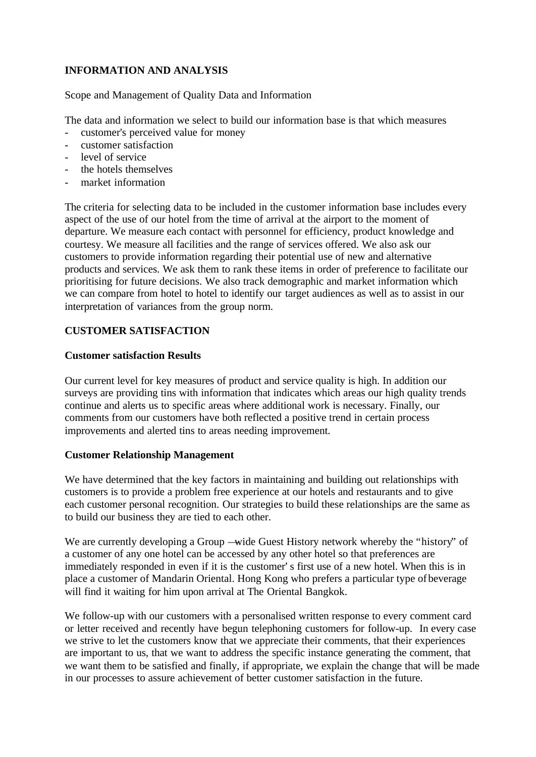# **INFORMATION AND ANALYSIS**

Scope and Management of Quality Data and Information

The data and information we select to build our information base is that which measures

- customer's perceived value for money
- customer satisfaction
- level of service
- the hotels themselves
- market information

The criteria for selecting data to be included in the customer information base includes every aspect of the use of our hotel from the time of arrival at the airport to the moment of departure. We measure each contact with personnel for efficiency, product knowledge and courtesy. We measure all facilities and the range of services offered. We also ask our customers to provide information regarding their potential use of new and alternative products and services. We ask them to rank these items in order of preference to facilitate our prioritising for future decisions. We also track demographic and market information which we can compare from hotel to hotel to identify our target audiences as well as to assist in our interpretation of variances from the group norm.

## **CUSTOMER SATISFACTION**

## **Customer satisfaction Results**

Our current level for key measures of product and service quality is high. In addition our surveys are providing tins with information that indicates which areas our high quality trends continue and alerts us to specific areas where additional work is necessary. Finally, our comments from our customers have both reflected a positive trend in certain process improvements and alerted tins to areas needing improvement.

### **Customer Relationship Management**

We have determined that the key factors in maintaining and building out relationships with customers is to provide a problem free experience at our hotels and restaurants and to give each customer personal recognition. Our strategies to build these relationships are the same as to build our business they are tied to each other.

We are currently developing a Group —wide Guest History network whereby the "history" of a customer of any one hotel can be accessed by any other hotel so that preferences are immediately responded in even if it is the customer's first use of a new hotel. When this is in place a customer of Mandarin Oriental. Hong Kong who prefers a particular type of beverage will find it waiting for him upon arrival at The Oriental Bangkok.

We follow-up with our customers with a personalised written response to every comment card or letter received and recently have begun telephoning customers for follow-up. In every case we strive to let the customers know that we appreciate their comments, that their experiences are important to us, that we want to address the specific instance generating the comment, that we want them to be satisfied and finally, if appropriate, we explain the change that will be made in our processes to assure achievement of better customer satisfaction in the future.